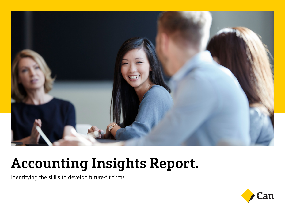

# **Accounting Insights Report.**

Identifying the skills to develop future-fit firms

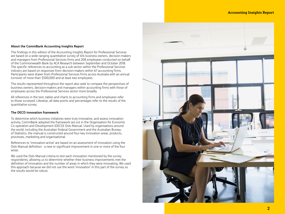#### **About the CommBank Accounting Insights Report**

The findings in this edition of the Accounting Insights Report for Professional Services are based on a wide-ranging quantitative survey of 414 business owners, decision-makers and managers from Professional Services firms and 208 employees conducted on behalf of the Commonwealth Bank by ACA Research between September and October 2018. The specific references to accounting as a sub-sector within the Professional Services industry are based on responses from decision-makers within 67 accounting firms. Participants were drawn from Professional Services firms across Australia with an annual turnover of more than \$500,000 and at least two employees.

The results represented throughout the report also seek to compare the perspectives of business owners, decision-makers and managers within accounting firms with those of employees across the Professional Services sector more broadly.

All references in the text, tables and charts to accounting firms and employees refer to those surveyed. Likewise, all data points and percentages refer to the results of the quantitative survey.

#### **The OECD innovation framework**

To determine which business initiatives were truly innovative, and assess innovation activity, CommBank adopted the framework set out in the Organisation for Economic Co-operation and Development (OECD) Oslo Manual. Used by organisations around the world, including the Australian Federal Government and the Australian Bureau of Statistics, the manual is constructed around four key innovation areas: products, processes, marketing and organisational.

References to 'innovation-active' are based on an assessment of innovation using the Oslo Manual definition - a new or significant improvement in one or more of the four areas.

We used the Oslo Manual criteria to test each innovation mentioned by the survey respondents, allowing us to determine whether their business improvements met the definition of innovation and the number of areas in which they were innovating. We used this approach because we did not use the word 'innovation' in this part of the survey so the results would be robust.

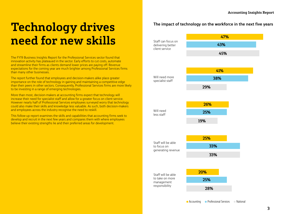## **Technology drives need for new skills**

The FY19 Business Insights Report for the Professional Services sector found that innovation activity has plateaued in the sector. Early efforts to cut costs, automate and streamline their firms as clients demand lower prices are paying off. Revenue expectations for the coming year are much brighter among Professional Services firms than many other businesses.

The report further found that employees and decision-makers alike place greater importance on the role of technology in gaining and maintaining a competitive edge than their peers in other sectors. Consequently, Professional Services firms are more likely to be investing in a range of emerging technologies.

More than most, decision-makers at accounting firms expect that technology will increase their need for specialist staff and allow for a greater focus on client service. However nearly half of Professional Services employees surveyed worry that technology could also make their skills and knowledge less valuable. As such, both decision-makers and employees across the industry recognise the need to reskill.

This follow-up report examines the skills and capabilities that accounting firms seek to develop and recruit in the next few years and compares them with where employees believe their existing strengths lie and their preferred areas for development.

### **The impact of technology on the workforce in the next five years**

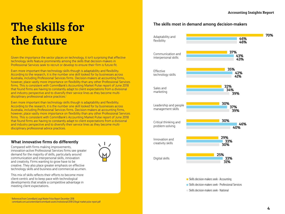# **The skills for the future**

Given the importance the sector places on technology, it isn't surprising that effective technology skills feature prominently among the skills that decision-makers in Professional Services seek to recruit or develop to ensure their firm is future-fit.

Even more important than technology skills though is adaptability and flexibility. According to the research, it is the number one skill looked for by businesses across Australia, including Professional Services firms. Decision-makers at accounting firms, however, place vastly more importance on flexibility than any other Professional Services firms. This is consistent with CommBank's Accounting Market Pulse report of June 2018 that found firms are having to constantly adapt to client expectations from a divisional and industry perspective and to diversify their service lines as they become multidisciplinary professional advice practices.<sup>1</sup>

Even more important than technology skills though is adaptability and flexibility. According to the research, it is the number one skill looked for by businesses across Australia, including Professional Services firms. Decision-makers at accounting firms, however, place vastly more importance on flexibility than any other Professional Services firms. This is consistent with CommBank's Accounting Market Pulse report of June 2018 that found firms are having to constantly adapt to client expectations from a divisional and industry perspective and to diversify their service lines as they become multidisciplinary professional advice practices.

#### **What innovative firms do differently**

Compared with firms making improvements, innovation-active Professional Services firms see greater demand for the majority of skills, particularly around communication and interpersonal skills, innovation and creativity. Firms wanting to grow have to be creative. They also place greater emphasis on effective technology skills and business and commercial acumen.

This mix of skills reflects their efforts to become more client-centric and to keep pace with technological developments that enable a competitive advantage in meeting client expectations.



#### **The skills most in demand among decision-makers**



Skills decision-makers seek - Accounting

Skills decision-makers seek - Professional Services

Skills decision-makers seek - National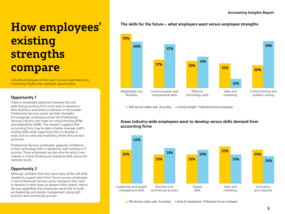### **How employees' existing strengths compare**

Including employees in this year's survey unearthed some interesting insights that represent opportunities.

### **Opportunity 1**

There is remarkable alignment between the soft skills that accounting firms most want to develop in their workforce and where employees in the broader Professional Services sector see their strengths. Encouragingly, employees across the Professional Services industry over-index on critical thinking (61%) and adaptability (60%). The research suggests that accounting firms may be able to better leverage staff's existing skills while supporting them to develop in areas such as sales and marketing, where they are less proficient.

Professional Services employees' apparent confidence in their technology skills is skewed by staff working in IT services. These employees are also why the sector overindexes in critical thinking and analytical skills versus the national results.

### **Opportunity 2**

Although confident that they have many of the soft skills needed to support their firms' future success, employees in the Professional Services sector recognise they need to develop in other areas to advance their careers. Hence the top capabilities that employees would like to build are leadership and people management, along with business and commercial acumen.

### **The skills for the future – what employers want versus employee strengths**



Skills decision-makers seek - Accounting Existing strengths - Professional Services employees

#### **Areas industry-wide employees want to develop versus skills demand from accounting firms**